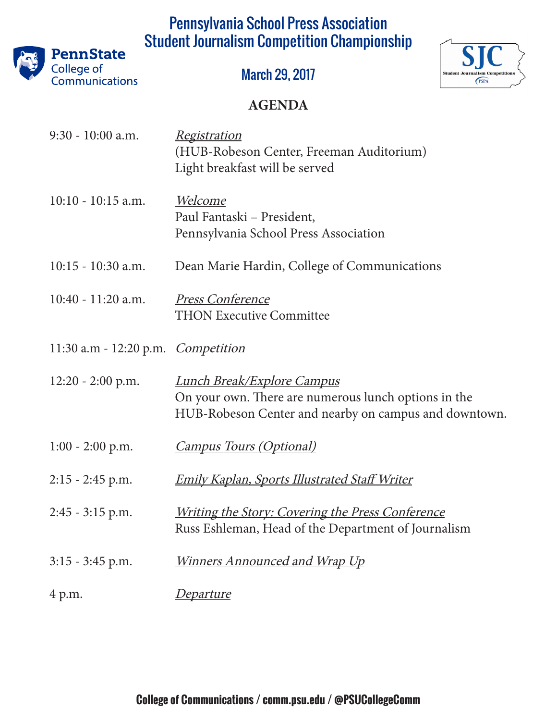# Pennsylvania School Press Association Student Journalism Competition Championship



March 29, 2017



#### **AGENDA**

| 9:30 - 10:00 a.m.                         | <i><u><b>Registration</b></u></i><br>(HUB-Robeson Center, Freeman Auditorium)<br>Light breakfast will be served                                     |
|-------------------------------------------|-----------------------------------------------------------------------------------------------------------------------------------------------------|
| $10:10 - 10:15$ a.m.                      | <u>Welcome</u><br>Paul Fantaski – President,<br>Pennsylvania School Press Association                                                               |
| $10:15 - 10:30$ a.m.                      | Dean Marie Hardin, College of Communications                                                                                                        |
| $10:40 - 11:20$ a.m.                      | <b>Press Conference</b><br><b>THON Executive Committee</b>                                                                                          |
| 11:30 a.m - 12:20 p.m. <i>Competition</i> |                                                                                                                                                     |
| $12:20 - 2:00$ p.m.                       | <u> Lunch Break/Explore Campus</u><br>On your own. There are numerous lunch options in the<br>HUB-Robeson Center and nearby on campus and downtown. |
| $1:00 - 2:00$ p.m.                        | <b>Campus Tours (Optional)</b>                                                                                                                      |
| $2:15 - 2:45$ p.m.                        | <b>Emily Kaplan, Sports Illustrated Staff Writer</b>                                                                                                |
| $2:45 - 3:15$ p.m.                        | <i><u><b>Writing the Story: Covering the Press Conference</b></u></i><br>Russ Eshleman, Head of the Department of Journalism                        |
| $3:15 - 3:45$ p.m.                        | Winners Announced and Wrap Up                                                                                                                       |
| 4 p.m.                                    | <u>Departure</u>                                                                                                                                    |